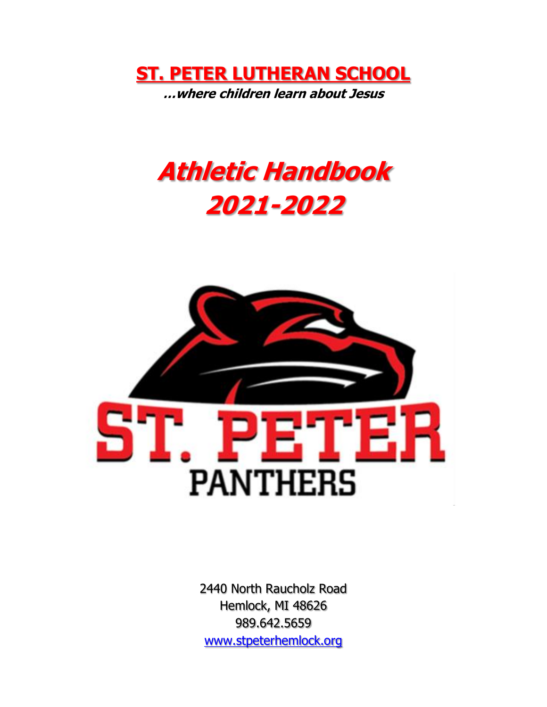

# **Athletic Handbook 2021-2022**



2440 North Raucholz Road Hemlock, MI 48626 989.642.5659 [www.stpeterhemlock.org](http://www.stpeterhemlock.org/)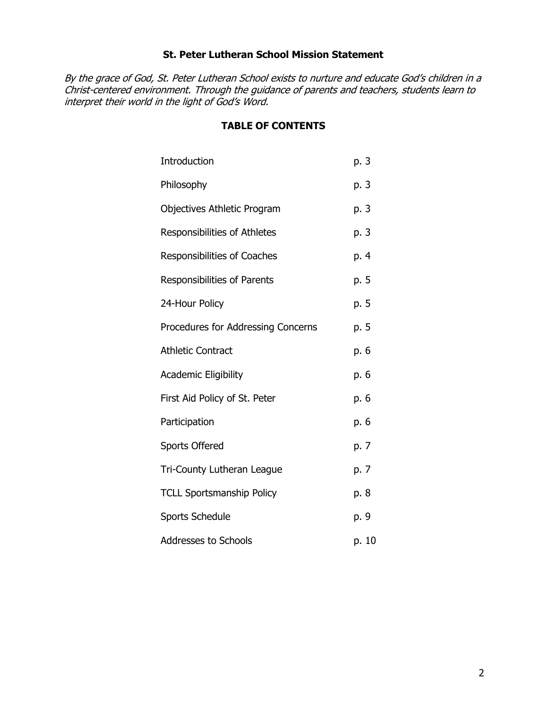## **St. Peter Lutheran School Mission Statement**

By the grace of God, St. Peter Lutheran School exists to nurture and educate God's children in a Christ-centered environment. Through the guidance of parents and teachers, students learn to interpret their world in the light of God's Word.

## **TABLE OF CONTENTS**

| Introduction                        | p. 3  |
|-------------------------------------|-------|
| Philosophy                          | p. 3  |
| Objectives Athletic Program         | p. 3  |
| <b>Responsibilities of Athletes</b> | p. 3  |
| <b>Responsibilities of Coaches</b>  | p. 4  |
| Responsibilities of Parents         | p. 5  |
| 24-Hour Policy                      | p. 5  |
| Procedures for Addressing Concerns  | p. 5  |
| <b>Athletic Contract</b>            | p. 6  |
| <b>Academic Eligibility</b>         | р. 6  |
| First Aid Policy of St. Peter       | р. 6  |
| Participation                       | р. 6  |
| <b>Sports Offered</b>               | p. 7  |
| Tri-County Lutheran League          | p. 7  |
| <b>TCLL Sportsmanship Policy</b>    | p. 8  |
| <b>Sports Schedule</b>              | p. 9  |
| <b>Addresses to Schools</b>         | p. 10 |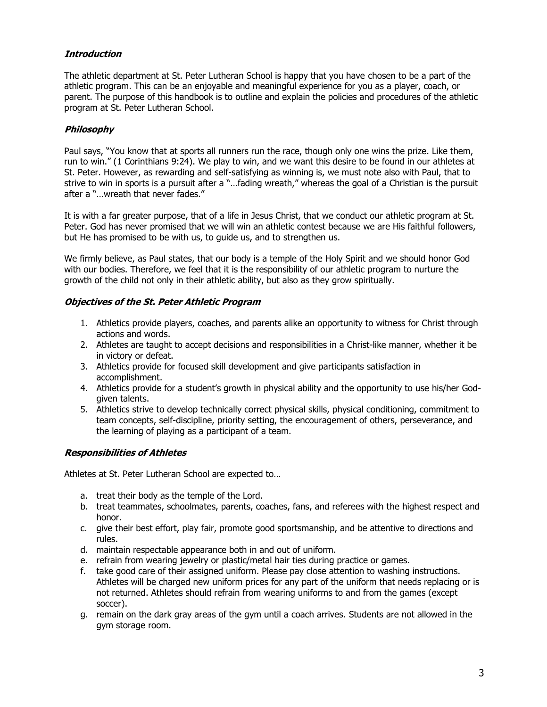## **Introduction**

The athletic department at St. Peter Lutheran School is happy that you have chosen to be a part of the athletic program. This can be an enjoyable and meaningful experience for you as a player, coach, or parent. The purpose of this handbook is to outline and explain the policies and procedures of the athletic program at St. Peter Lutheran School.

### **Philosophy**

Paul says, "You know that at sports all runners run the race, though only one wins the prize. Like them, run to win." (1 Corinthians 9:24). We play to win, and we want this desire to be found in our athletes at St. Peter. However, as rewarding and self-satisfying as winning is, we must note also with Paul, that to strive to win in sports is a pursuit after a "…fading wreath," whereas the goal of a Christian is the pursuit after a "…wreath that never fades."

It is with a far greater purpose, that of a life in Jesus Christ, that we conduct our athletic program at St. Peter. God has never promised that we will win an athletic contest because we are His faithful followers, but He has promised to be with us, to guide us, and to strengthen us.

We firmly believe, as Paul states, that our body is a temple of the Holy Spirit and we should honor God with our bodies. Therefore, we feel that it is the responsibility of our athletic program to nurture the growth of the child not only in their athletic ability, but also as they grow spiritually.

### **Objectives of the St. Peter Athletic Program**

- 1. Athletics provide players, coaches, and parents alike an opportunity to witness for Christ through actions and words.
- 2. Athletes are taught to accept decisions and responsibilities in a Christ-like manner, whether it be in victory or defeat.
- 3. Athletics provide for focused skill development and give participants satisfaction in accomplishment.
- 4. Athletics provide for a student's growth in physical ability and the opportunity to use his/her Godgiven talents.
- 5. Athletics strive to develop technically correct physical skills, physical conditioning, commitment to team concepts, self-discipline, priority setting, the encouragement of others, perseverance, and the learning of playing as a participant of a team.

### **Responsibilities of Athletes**

Athletes at St. Peter Lutheran School are expected to…

- a. treat their body as the temple of the Lord.
- b. treat teammates, schoolmates, parents, coaches, fans, and referees with the highest respect and honor.
- c. give their best effort, play fair, promote good sportsmanship, and be attentive to directions and rules.
- d. maintain respectable appearance both in and out of uniform.
- e. refrain from wearing jewelry or plastic/metal hair ties during practice or games.
- f. take good care of their assigned uniform. Please pay close attention to washing instructions. Athletes will be charged new uniform prices for any part of the uniform that needs replacing or is not returned. Athletes should refrain from wearing uniforms to and from the games (except soccer).
- g. remain on the dark gray areas of the gym until a coach arrives. Students are not allowed in the gym storage room.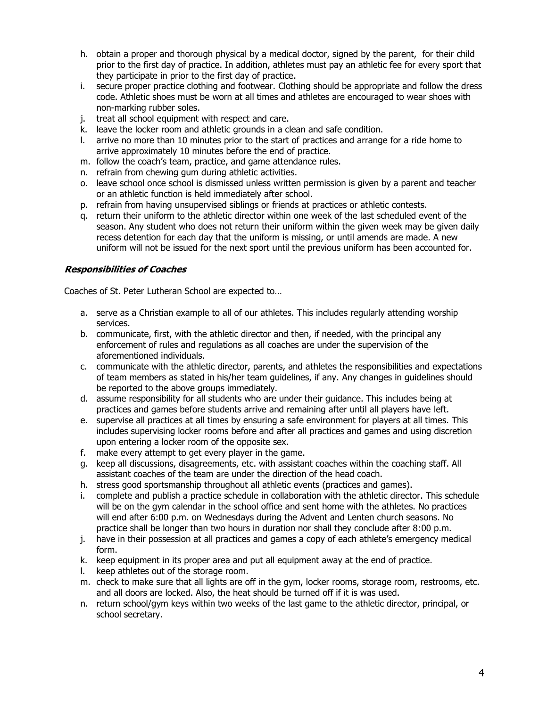- h. obtain a proper and thorough physical by a medical doctor, signed by the parent, for their child prior to the first day of practice. In addition, athletes must pay an athletic fee for every sport that they participate in prior to the first day of practice.
- i. secure proper practice clothing and footwear. Clothing should be appropriate and follow the dress code. Athletic shoes must be worn at all times and athletes are encouraged to wear shoes with non-marking rubber soles.
- j. treat all school equipment with respect and care.
- k. leave the locker room and athletic grounds in a clean and safe condition.
- l. arrive no more than 10 minutes prior to the start of practices and arrange for a ride home to arrive approximately 10 minutes before the end of practice.
- m. follow the coach's team, practice, and game attendance rules.
- n. refrain from chewing gum during athletic activities.
- o. leave school once school is dismissed unless written permission is given by a parent and teacher or an athletic function is held immediately after school.
- p. refrain from having unsupervised siblings or friends at practices or athletic contests.
- q. return their uniform to the athletic director within one week of the last scheduled event of the season. Any student who does not return their uniform within the given week may be given daily recess detention for each day that the uniform is missing, or until amends are made. A new uniform will not be issued for the next sport until the previous uniform has been accounted for.

#### **Responsibilities of Coaches**

Coaches of St. Peter Lutheran School are expected to…

- a. serve as a Christian example to all of our athletes. This includes regularly attending worship services.
- b. communicate, first, with the athletic director and then, if needed, with the principal any enforcement of rules and regulations as all coaches are under the supervision of the aforementioned individuals.
- c. communicate with the athletic director, parents, and athletes the responsibilities and expectations of team members as stated in his/her team guidelines, if any. Any changes in guidelines should be reported to the above groups immediately.
- d. assume responsibility for all students who are under their guidance. This includes being at practices and games before students arrive and remaining after until all players have left.
- e. supervise all practices at all times by ensuring a safe environment for players at all times. This includes supervising locker rooms before and after all practices and games and using discretion upon entering a locker room of the opposite sex.
- f. make every attempt to get every player in the game.
- g. keep all discussions, disagreements, etc. with assistant coaches within the coaching staff. All assistant coaches of the team are under the direction of the head coach.
- h. stress good sportsmanship throughout all athletic events (practices and games).
- i. complete and publish a practice schedule in collaboration with the athletic director. This schedule will be on the gym calendar in the school office and sent home with the athletes. No practices will end after 6:00 p.m. on Wednesdays during the Advent and Lenten church seasons. No practice shall be longer than two hours in duration nor shall they conclude after 8:00 p.m.
- j. have in their possession at all practices and games a copy of each athlete's emergency medical form.
- k. keep equipment in its proper area and put all equipment away at the end of practice.
- l. keep athletes out of the storage room.
- m. check to make sure that all lights are off in the gym, locker rooms, storage room, restrooms, etc. and all doors are locked. Also, the heat should be turned off if it is was used.
- n. return school/gym keys within two weeks of the last game to the athletic director, principal, or school secretary.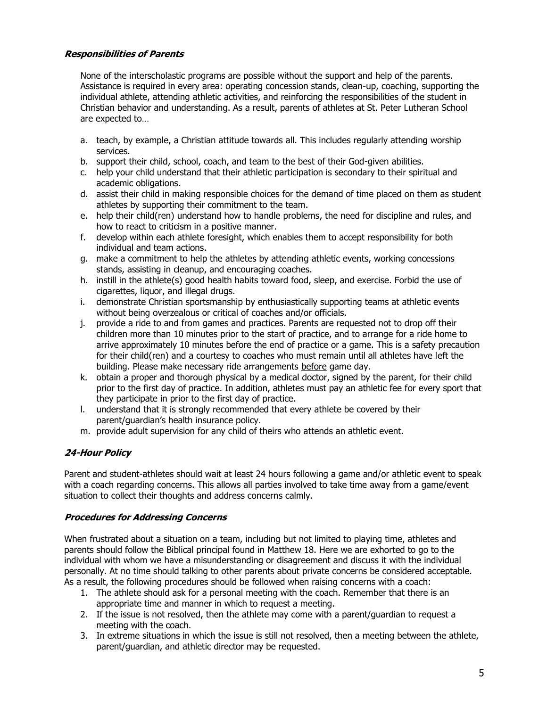## **Responsibilities of Parents**

None of the interscholastic programs are possible without the support and help of the parents. Assistance is required in every area: operating concession stands, clean-up, coaching, supporting the individual athlete, attending athletic activities, and reinforcing the responsibilities of the student in Christian behavior and understanding. As a result, parents of athletes at St. Peter Lutheran School are expected to…

- a. teach, by example, a Christian attitude towards all. This includes regularly attending worship services.
- b. support their child, school, coach, and team to the best of their God-given abilities.
- c. help your child understand that their athletic participation is secondary to their spiritual and academic obligations.
- d. assist their child in making responsible choices for the demand of time placed on them as student athletes by supporting their commitment to the team.
- e. help their child(ren) understand how to handle problems, the need for discipline and rules, and how to react to criticism in a positive manner.
- f. develop within each athlete foresight, which enables them to accept responsibility for both individual and team actions.
- g. make a commitment to help the athletes by attending athletic events, working concessions stands, assisting in cleanup, and encouraging coaches.
- h. instill in the athlete(s) good health habits toward food, sleep, and exercise. Forbid the use of cigarettes, liquor, and illegal drugs.
- i. demonstrate Christian sportsmanship by enthusiastically supporting teams at athletic events without being overzealous or critical of coaches and/or officials.
- j. provide a ride to and from games and practices. Parents are requested not to drop off their children more than 10 minutes prior to the start of practice, and to arrange for a ride home to arrive approximately 10 minutes before the end of practice or a game. This is a safety precaution for their child(ren) and a courtesy to coaches who must remain until all athletes have left the building. Please make necessary ride arrangements before game day.
- k. obtain a proper and thorough physical by a medical doctor, signed by the parent, for their child prior to the first day of practice. In addition, athletes must pay an athletic fee for every sport that they participate in prior to the first day of practice.
- l. understand that it is strongly recommended that every athlete be covered by their parent/guardian's health insurance policy.
- m. provide adult supervision for any child of theirs who attends an athletic event.

### **24-Hour Policy**

Parent and student-athletes should wait at least 24 hours following a game and/or athletic event to speak with a coach regarding concerns. This allows all parties involved to take time away from a game/event situation to collect their thoughts and address concerns calmly.

### **Procedures for Addressing Concerns**

When frustrated about a situation on a team, including but not limited to playing time, athletes and parents should follow the Biblical principal found in Matthew 18. Here we are exhorted to go to the individual with whom we have a misunderstanding or disagreement and discuss it with the individual personally. At no time should talking to other parents about private concerns be considered acceptable. As a result, the following procedures should be followed when raising concerns with a coach:

- 1. The athlete should ask for a personal meeting with the coach. Remember that there is an appropriate time and manner in which to request a meeting.
- 2. If the issue is not resolved, then the athlete may come with a parent/guardian to request a meeting with the coach.
- 3. In extreme situations in which the issue is still not resolved, then a meeting between the athlete, parent/guardian, and athletic director may be requested.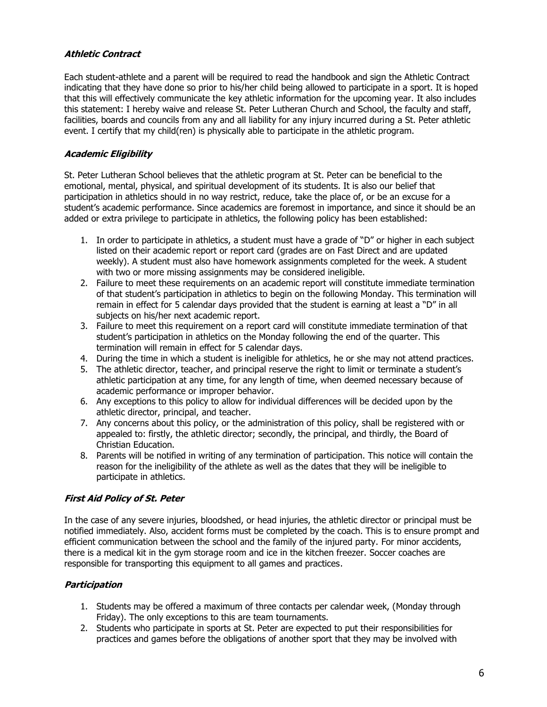### **Athletic Contract**

Each student-athlete and a parent will be required to read the handbook and sign the Athletic Contract indicating that they have done so prior to his/her child being allowed to participate in a sport. It is hoped that this will effectively communicate the key athletic information for the upcoming year. It also includes this statement: I hereby waive and release St. Peter Lutheran Church and School, the faculty and staff, facilities, boards and councils from any and all liability for any injury incurred during a St. Peter athletic event. I certify that my child(ren) is physically able to participate in the athletic program.

#### **Academic Eligibility**

St. Peter Lutheran School believes that the athletic program at St. Peter can be beneficial to the emotional, mental, physical, and spiritual development of its students. It is also our belief that participation in athletics should in no way restrict, reduce, take the place of, or be an excuse for a student's academic performance. Since academics are foremost in importance, and since it should be an added or extra privilege to participate in athletics, the following policy has been established:

- 1. In order to participate in athletics, a student must have a grade of "D" or higher in each subject listed on their academic report or report card (grades are on Fast Direct and are updated weekly). A student must also have homework assignments completed for the week. A student with two or more missing assignments may be considered ineligible.
- 2. Failure to meet these requirements on an academic report will constitute immediate termination of that student's participation in athletics to begin on the following Monday. This termination will remain in effect for 5 calendar days provided that the student is earning at least a "D" in all subjects on his/her next academic report.
- 3. Failure to meet this requirement on a report card will constitute immediate termination of that student's participation in athletics on the Monday following the end of the quarter. This termination will remain in effect for 5 calendar days.
- 4. During the time in which a student is ineligible for athletics, he or she may not attend practices.
- 5. The athletic director, teacher, and principal reserve the right to limit or terminate a student's athletic participation at any time, for any length of time, when deemed necessary because of academic performance or improper behavior.
- 6. Any exceptions to this policy to allow for individual differences will be decided upon by the athletic director, principal, and teacher.
- 7. Any concerns about this policy, or the administration of this policy, shall be registered with or appealed to: firstly, the athletic director; secondly, the principal, and thirdly, the Board of Christian Education.
- 8. Parents will be notified in writing of any termination of participation. This notice will contain the reason for the ineligibility of the athlete as well as the dates that they will be ineligible to participate in athletics.

### **First Aid Policy of St. Peter**

In the case of any severe injuries, bloodshed, or head injuries, the athletic director or principal must be notified immediately. Also, accident forms must be completed by the coach. This is to ensure prompt and efficient communication between the school and the family of the injured party. For minor accidents, there is a medical kit in the gym storage room and ice in the kitchen freezer. Soccer coaches are responsible for transporting this equipment to all games and practices.

### **Participation**

- 1. Students may be offered a maximum of three contacts per calendar week, (Monday through Friday). The only exceptions to this are team tournaments.
- 2. Students who participate in sports at St. Peter are expected to put their responsibilities for practices and games before the obligations of another sport that they may be involved with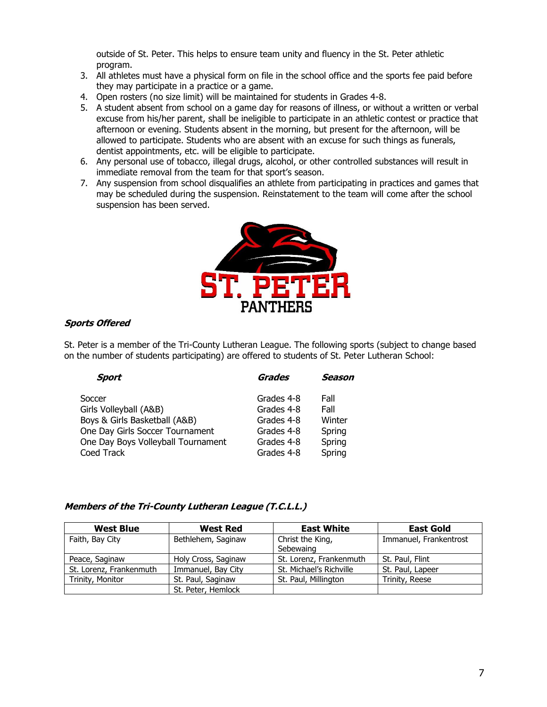outside of St. Peter. This helps to ensure team unity and fluency in the St. Peter athletic program.

- 3. All athletes must have a physical form on file in the school office and the sports fee paid before they may participate in a practice or a game.
- 4. Open rosters (no size limit) will be maintained for students in Grades 4-8.
- 5. A student absent from school on a game day for reasons of illness, or without a written or verbal excuse from his/her parent, shall be ineligible to participate in an athletic contest or practice that afternoon or evening. Students absent in the morning, but present for the afternoon, will be allowed to participate. Students who are absent with an excuse for such things as funerals, dentist appointments, etc. will be eligible to participate.
- 6. Any personal use of tobacco, illegal drugs, alcohol, or other controlled substances will result in immediate removal from the team for that sport's season.
- 7. Any suspension from school disqualifies an athlete from participating in practices and games that may be scheduled during the suspension. Reinstatement to the team will come after the school suspension has been served.



#### **Sports Offered**

St. Peter is a member of the Tri-County Lutheran League. The following sports (subject to change based on the number of students participating) are offered to students of St. Peter Lutheran School:

| <b>Sport</b>                       | <b>Grades</b> | Season |
|------------------------------------|---------------|--------|
| Soccer                             | Grades 4-8    | Fall   |
| Girls Volleyball (A&B)             | Grades 4-8    | Fall   |
| Boys & Girls Basketball (A&B)      | Grades 4-8    | Winter |
| One Day Girls Soccer Tournament    | Grades 4-8    | Spring |
| One Day Boys Volleyball Tournament | Grades 4-8    | Spring |
| Coed Track                         | Grades 4-8    | Spring |

#### **Members of the Tri-County Lutheran League (T.C.L.L.)**

| <b>West Blue</b>        | <b>West Red</b>     | <b>East White</b>       | <b>East Gold</b>       |
|-------------------------|---------------------|-------------------------|------------------------|
| Faith, Bay City         | Bethlehem, Saginaw  | Christ the King,        | Immanuel, Frankentrost |
|                         |                     | Sebewaing               |                        |
| Peace, Saginaw          | Holy Cross, Saginaw | St. Lorenz, Frankenmuth | St. Paul, Flint        |
| St. Lorenz, Frankenmuth | Immanuel, Bay City  | St. Michael's Richville | St. Paul, Lapeer       |
| Trinity, Monitor        | St. Paul, Saginaw   | St. Paul, Millington    | Trinity, Reese         |
|                         | St. Peter, Hemlock  |                         |                        |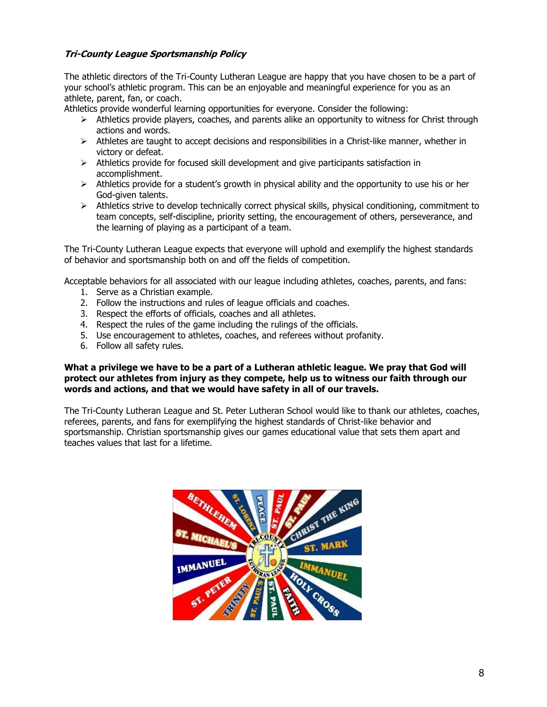## **Tri-County League Sportsmanship Policy**

The athletic directors of the Tri-County Lutheran League are happy that you have chosen to be a part of your school's athletic program. This can be an enjoyable and meaningful experience for you as an athlete, parent, fan, or coach.

Athletics provide wonderful learning opportunities for everyone. Consider the following:

- $\triangleright$  Athletics provide players, coaches, and parents alike an opportunity to witness for Christ through actions and words.
- $\triangleright$  Athletes are taught to accept decisions and responsibilities in a Christ-like manner, whether in victory or defeat.
- $\triangleright$  Athletics provide for focused skill development and give participants satisfaction in accomplishment.
- ➢ Athletics provide for a student's growth in physical ability and the opportunity to use his or her God-given talents.
- ➢ Athletics strive to develop technically correct physical skills, physical conditioning, commitment to team concepts, self-discipline, priority setting, the encouragement of others, perseverance, and the learning of playing as a participant of a team.

The Tri-County Lutheran League expects that everyone will uphold and exemplify the highest standards of behavior and sportsmanship both on and off the fields of competition.

Acceptable behaviors for all associated with our league including athletes, coaches, parents, and fans:

- 1. Serve as a Christian example.
- 2. Follow the instructions and rules of league officials and coaches.
- 3. Respect the efforts of officials, coaches and all athletes.
- 4. Respect the rules of the game including the rulings of the officials.
- 5. Use encouragement to athletes, coaches, and referees without profanity.
- 6. Follow all safety rules.

#### **What a privilege we have to be a part of a Lutheran athletic league. We pray that God will protect our athletes from injury as they compete, help us to witness our faith through our words and actions, and that we would have safety in all of our travels.**

The Tri-County Lutheran League and St. Peter Lutheran School would like to thank our athletes, coaches, referees, parents, and fans for exemplifying the highest standards of Christ-like behavior and sportsmanship. Christian sportsmanship gives our games educational value that sets them apart and teaches values that last for a lifetime.

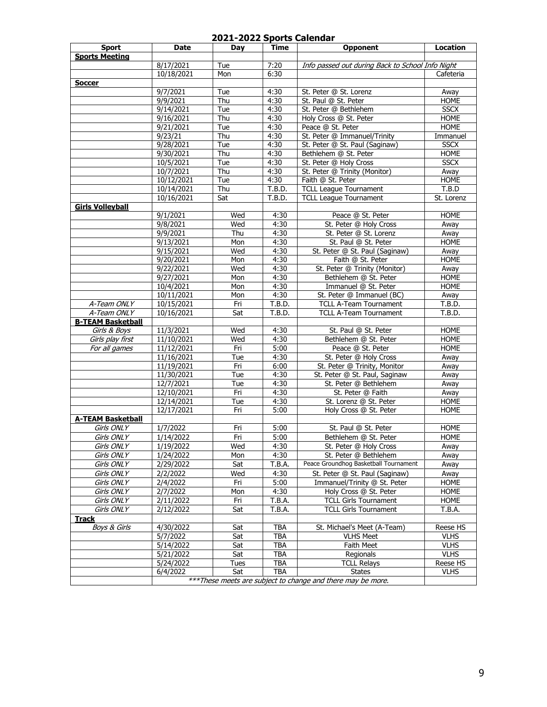## **2021-2022 Sports Calendar**

| <b>Sport</b>             | Date                                                         | Day  | Time         | <b>Opponent</b>                                  | <b>Location</b> |  |
|--------------------------|--------------------------------------------------------------|------|--------------|--------------------------------------------------|-----------------|--|
| <b>Sports Meeting</b>    |                                                              |      |              |                                                  |                 |  |
|                          | 8/17/2021                                                    | Tue  | 7:20         | Info passed out during Back to School Info Night |                 |  |
|                          | 10/18/2021                                                   | Mon  | 6:30         |                                                  | Cafeteria       |  |
| <b>Soccer</b>            |                                                              |      |              |                                                  |                 |  |
|                          | 9/7/2021                                                     | Tue  | 4:30         | St. Peter @ St. Lorenz                           | Away            |  |
|                          | 9/9/2021                                                     | Thu  | 4:30         | St. Paul @ St. Peter                             | <b>HOME</b>     |  |
|                          | 9/14/2021                                                    | Tue  | 4:30         | St. Peter @ Bethlehem                            | <b>SSCX</b>     |  |
|                          | 9/16/2021                                                    | Thu  | 4:30         | Holy Cross @ St. Peter                           | <b>HOME</b>     |  |
|                          | 9/21/2021                                                    | Tue  | 4:30         | Peace @ St. Peter                                | HOME            |  |
|                          | 9/23/21                                                      | Thu  | 4:30         | St. Peter @ Immanuel/Trinity                     | Immanuel        |  |
|                          | 9/28/2021                                                    | Tue  | 4:30         | St. Peter @ St. Paul (Saginaw)                   | <b>SSCX</b>     |  |
|                          | 9/30/2021                                                    | Thu  | 4:30         | Bethlehem @ St. Peter                            | <b>HOME</b>     |  |
|                          | 10/5/2021                                                    | Tue  | 4:30         | St. Peter @ Holy Cross                           | <b>SSCX</b>     |  |
|                          | 10/7/2021                                                    | Thu  | 4:30         | St. Peter @ Trinity (Monitor)                    | Away            |  |
|                          | 10/12/2021                                                   | Tue  | 4:30         | Faith @ St. Peter                                | <b>HOME</b>     |  |
|                          | 10/14/2021                                                   | Thu  | T.B.D.       | <b>TCLL League Tournament</b>                    | T.B.D           |  |
|                          | 10/16/2021                                                   | Sat  | T.B.D.       | <b>TCLL League Tournament</b>                    | St. Lorenz      |  |
| <b>Girls Volleyball</b>  |                                                              |      |              |                                                  |                 |  |
|                          | 9/1/2021                                                     | Wed  | 4:30         | Peace @ St. Peter                                | <b>HOME</b>     |  |
|                          | 9/8/2021                                                     | Wed  |              | St. Peter @ Holy Cross                           |                 |  |
|                          | 9/9/2021                                                     | Thu  | 4:30<br>4:30 | St. Peter @ St. Lorenz                           | Away<br>Away    |  |
|                          | 9/13/2021                                                    | Mon  | 4:30         | St. Paul @ St. Peter                             | <b>HOME</b>     |  |
|                          |                                                              |      |              |                                                  |                 |  |
|                          | 9/15/2021<br>9/20/2021                                       | Wed  | 4:30         | St. Peter @ St. Paul (Saginaw)                   | Away            |  |
|                          |                                                              | Mon  | 4:30         | Faith @ St. Peter                                | <b>HOME</b>     |  |
|                          | 9/22/2021                                                    | Wed  | 4:30         | St. Peter @ Trinity (Monitor)                    | Away            |  |
|                          | 9/27/2021                                                    | Mon  | 4:30         | Bethlehem @ St. Peter                            | <b>HOME</b>     |  |
|                          | 10/4/2021                                                    | Mon  | 4:30         | Immanuel @ St. Peter                             | <b>HOME</b>     |  |
|                          | 10/11/2021                                                   | Mon  | 4:30         | St. Peter @ Immanuel (BC)                        | Away            |  |
| A-Team ONLY              | 10/15/2021                                                   | Fri  | T.B.D.       | <b>TCLL A-Team Tournament</b>                    | T.B.D.          |  |
| A-Team ONLY              | 10/16/2021                                                   | Sat  | T.B.D.       | <b>TCLL A-Team Tournament</b>                    | T.B.D.          |  |
| <b>B-TEAM Basketball</b> |                                                              |      |              |                                                  |                 |  |
| Girls & Boys             | 11/3/2021                                                    | Wed  | 4:30         | St. Paul @ St. Peter                             | <b>HOME</b>     |  |
| Girls play first         | 11/10/2021                                                   | Wed  | 4:30         | Bethlehem @ St. Peter                            | <b>HOME</b>     |  |
| For all games            | 11/12/2021                                                   | Fri  | 5:00         | Peace @ St. Peter                                | <b>HOME</b>     |  |
|                          | 11/16/2021                                                   | Tue  | 4:30         | St. Peter @ Holy Cross                           | Away            |  |
|                          | 11/19/2021                                                   | Fri  | 6:00         | St. Peter @ Trinity, Monitor                     | Away            |  |
|                          | 11/30/2021                                                   | Tue  | 4:30         | St. Peter @ St. Paul, Saginaw                    | Away            |  |
|                          | 12/7/2021                                                    | Tue  | 4:30         | St. Peter @ Bethlehem                            | Away            |  |
|                          | 12/10/2021                                                   | Fri  | 4:30         | St. Peter @ Faith                                | Away            |  |
|                          | 12/14/2021                                                   | Tue  | 4:30         | St. Lorenz @ St. Peter                           | <b>HOME</b>     |  |
|                          | 12/17/2021                                                   | Fri  | 5:00         | Holy Cross @ St. Peter                           | <b>HOME</b>     |  |
| <b>A-TEAM Basketball</b> |                                                              |      |              |                                                  |                 |  |
| Girls ONLY               | 1/7/2022                                                     | Fri  | 5:00         | St. Paul @ St. Peter                             | <b>HOME</b>     |  |
| Girls ONLY               | 1/14/2022                                                    | Fri  | 5:00         | Bethlehem @ St. Peter                            | HOME            |  |
| Girls ONLY               | 1/19/2022                                                    | Wed  | 4:30         | St. Peter @ Holy Cross                           | Away            |  |
| Girls ONLY               | 1/24/2022                                                    | Mon  | 4:30         | St. Peter @ Bethlehem                            | Away            |  |
| Girls ONLY               | 2/29/2022                                                    | Sat  | T.B.A.       | Peace Groundhog Basketball Tournament            | Away            |  |
| Girls ONLY               | 2/2/2022                                                     | Wed  | 4:30         | St. Peter @ St. Paul (Saginaw)                   | Away            |  |
| Girls ONLY               | 2/4/2022                                                     | Fri  | 5:00         | Immanuel/Trinity @ St. Peter                     | <b>HOME</b>     |  |
| Girls ONLY               | 2/7/2022                                                     | Mon  | 4:30         | Holy Cross @ St. Peter                           | <b>HOME</b>     |  |
| Girls ONLY               | $\overline{2}/11/2022$                                       | Fri  | T.B.A.       | <b>TCLL Girls Tournament</b>                     | <b>HOME</b>     |  |
| Girls ONLY               | 2/12/2022                                                    | Sat  | T.B.A.       | <b>TCLL Girls Tournament</b>                     | T.B.A.          |  |
| <b>Track</b>             |                                                              |      |              |                                                  |                 |  |
| <b>Boys &amp; Girls</b>  | 4/30/2022                                                    | Sat  | <b>TBA</b>   | St. Michael's Meet (A-Team)                      | Reese HS        |  |
|                          | 5/7/2022                                                     | Sat  | TBA          | <b>VLHS Meet</b>                                 | <b>VLHS</b>     |  |
|                          | 5/14/2022                                                    | Sat  | TBA          | Faith Meet                                       | <b>VLHS</b>     |  |
|                          | 5/21/2022                                                    | Sat  | TBA          | Regionals                                        | <b>VLHS</b>     |  |
|                          | 5/24/2022                                                    | Tues | TBA          | <b>TCLL Relays</b>                               | Reese HS        |  |
|                          | 6/4/2022                                                     | Sat  | <b>TBA</b>   | <b>States</b>                                    | <b>VLHS</b>     |  |
|                          |                                                              |      |              |                                                  |                 |  |
|                          | *** These meets are subject to change and there may be more. |      |              |                                                  |                 |  |